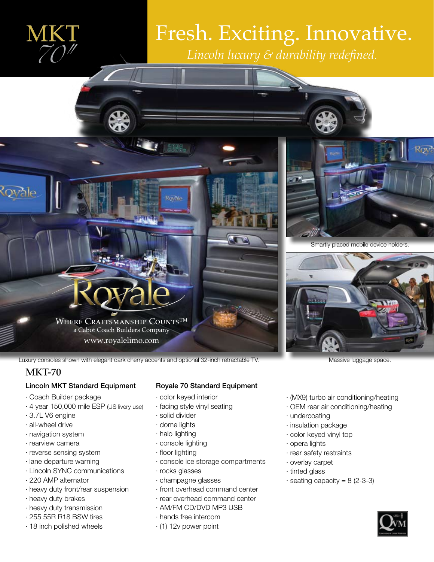

# Fresh. Exciting. Innovative. **MKT** *Fresh. Exciting. Innovat Lincoln luxury & durability redefined.*



Smartly placed mobile device holders.



Luxury consoles shown with elegant dark cherry accents and optional 32-inch retractable TV. Massive luggage space

## MKT-70

### Lincoln MKT Standard Equipment

- · Coach Builder package
- · 4 year 150,000 mile ESP (US livery use)
- · 3.7L V6 engine
- · all-wheel drive
- · navigation system
- · rearview camera
- · reverse sensing system
- · lane departure warning
- · Lincoln SYNC communications
- · 220 AMP alternator
- · heavy duty front/rear suspension
- · heavy duty brakes
- · heavy duty transmission
- · 255 55R R18 BSW tires
- · 18 inch polished wheels

### Royale 70 Standard Equipment

- · color keyed interior
- · facing style vinyl seating
- · solid divider
- · dome lights
- · halo lighting
- · console lighting
- · floor lighting
- · console ice storage compartments
- · rocks glasses
- · champagne glasses
- · front overhead command center
- · rear overhead command center
- · AM/FM CD/DVD MP3 USB
- · hands free intercom
- · (1) 12v power point

- · (MX9) turbo air conditioning/heating
- · OEM rear air conditioning/heating
- · undercoating
- · insulation package
- · color keyed vinyl top
- · opera lights
- · rear safety restraints
- · overlay carpet
- · tinted glass
- $\cdot$  seating capacity = 8 (2-3-3)